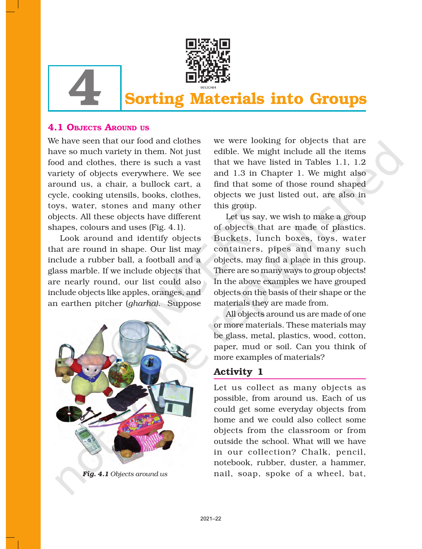

# **Sorting Materials into Groups**

## 4.1 OBJECTS AROUND US

We have seen that our food and clothes have so much variety in them. Not just food and clothes, there is such a vast variety of objects everywhere. We see around us, a chair, a bullock cart, a cycle, cooking utensils, books, clothes, toys, water, stones and many other objects. All these objects have different shapes, colours and uses (Fig. 4.1).

Look around and identify objects that are round in shape. Our list may include a rubber ball, a football and a glass marble. If we include objects that are nearly round, our list could also include objects like apples, oranges, and an earthen pitcher (*gharha)*. Suppose



*Fig. 4.1 Objects around us*

we were looking for objects that are edible. We might include all the items that we have listed in Tables 1.1, 1.2 and 1.3 in Chapter 1. We might also find that some of those round shaped objects we just listed out, are also in this group.

Let us say, we wish to make a group of objects that are made of plastics. Buckets, lunch boxes, toys, water containers, pipes and many such objects, may find a place in this group. There are so many ways to group objects! In the above examples we have grouped objects on the basis of their shape or the materials they are made from.

All objects around us are made of one or more materials. These materials may be glass, metal, plastics, wood, cotton, paper, mud or soil. Can you think of more examples of materials?

# Activity 1

Let us collect as many objects as possible, from around us. Each of us could get some everyday objects from home and we could also collect some objects from the classroom or from outside the school. What will we have in our collection? Chalk, pencil, notebook, rubber, duster, a hammer, nail, soap, spoke of a wheel, bat,

26 SCIENCE AND LONGITUDE AND LONGITUDE AND LONGITUDE AND LONGITUDE AND LONGITUDE AND LONGITUDE AND LONGITUDE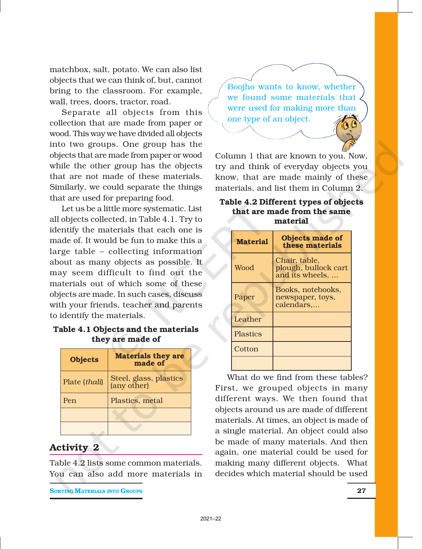matchbox, salt, potato. We can also list objects that we can think of, but, cannot bring to the classroom. For example, wall, trees, doors, tractor, road.

Separate all objects from this collection that are made from paper or wood. This way we have divided all objects into two groups. One group has the objects that are made from paper or wood while the other group has the objects that are not made of these materials. Similarly, we could separate the things that are used for preparing food.

Let us be a little more systematic. List all objects collected, in Table 4.1. Try to identify the materials that each one is made of. It would be fun to make this a large table – collecting information about as many objects as possible. It may seem difficult to find out the materials out of which some of these objects are made. In such cases, discuss with your friends, teacher and parents to identify the materials.

#### Table 4.1 Objects and the materials they are made of

| <b>Objects</b> | <b>Materials they are</b><br>made of  |
|----------------|---------------------------------------|
| Plate (thali)  | Steel, glass, plastics<br>(any other) |
| Pen            | Plastics, metal                       |
|                |                                       |
|                |                                       |

## Activity 2

Table 4.2 lists some common materials. You can also add more materials in

**SORTING MATERIALS INTO GROUPS** 27

Boojho wants to know, whether we found some materials that were used for making more than one type of an object.

Column 1 that are known to you. Now, try and think of everyday objects you know, that are made mainly of these materials, and list them in Column 2.

#### Table 4.2 Different types of objects that are made from the same material

| <b>Material</b> | <b>Objects made of</b><br>these materials                |
|-----------------|----------------------------------------------------------|
| Wood            | Chair, table,<br>plough, bullock cart<br>and its wheels, |
| Paper           | Books, notebooks,<br>newspaper, toys,<br>calendars,      |
| Leather         |                                                          |
| <b>Plastics</b> |                                                          |
| Cotton          |                                                          |
|                 |                                                          |

What do we find from these tables? First, we grouped objects in many different ways. We then found that objects around us are made of different materials. At times, an object is made of a single material. An object could also be made of many materials. And then again, one material could be used for making many different objects. What decides which material should be used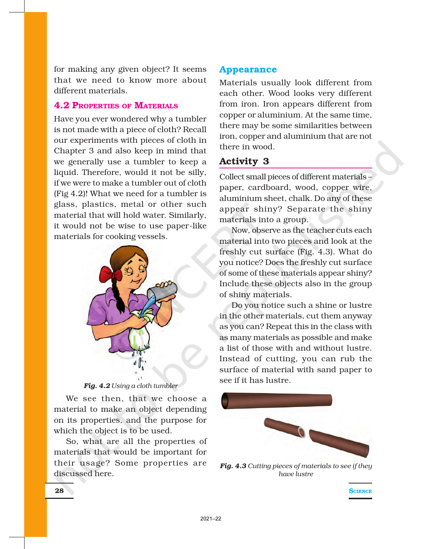for making any given object? It seems that we need to know more about different materials.

#### 4.2 PROPERTIES OF MATERIALS

Have you ever wondered why a tumbler is not made with a piece of cloth? Recall our experiments with pieces of cloth in Chapter 3 and also keep in mind that we generally use a tumbler to keep a liquid. Therefore, would it not be silly, if we were to make a tumbler out of cloth (Fig 4.2)! What we need for a tumbler is glass, plastics, metal or other such material that will hold water. Similarly, it would not be wise to use paper-like materials for cooking vessels.



*Fig. 4.2 Using a cloth tumbler*

We see then, that we choose a material to make an object depending on its properties, and the purpose for which the object is to be used.

So, what are all the properties of materials that would be important for their usage? Some properties are discussed here.

#### Appearance

Materials usually look different from each other. Wood looks very different from iron. Iron appears different from copper or aluminium. At the same time, there may be some similarities between iron, copper and aluminium that are not there in wood.

## Activity 3

Collect small pieces of different materials – paper, cardboard, wood, copper wire, aluminium sheet, chalk. Do any of these appear shiny? Separate the shiny materials into a group.

Now, observe as the teacher cuts each material into two pieces and look at the freshly cut surface (Fig. 4.3). What do you notice? Does the freshly cut surface of some of these materials appear shiny? Include these objects also in the group of shiny materials.

Do you notice such a shine or lustre in the other materials, cut them anyway as you can? Repeat this in the class with as many materials as possible and make a list of those with and without lustre. Instead of cutting, you can rub the surface of material with sand paper to see if it has lustre.



*Fig. 4.3 Cutting pieces of materials to see if they have lustre*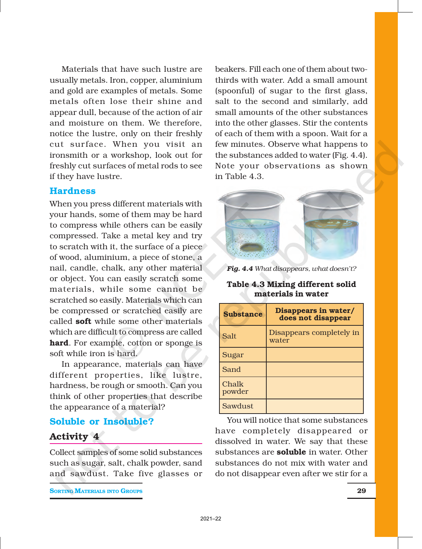Materials that have such lustre are usually metals. Iron, copper, aluminium and gold are examples of metals. Some metals often lose their shine and appear dull, because of the action of air and moisture on them. We therefore, notice the lustre, only on their freshly cut surface. When you visit an ironsmith or a workshop, look out for freshly cut surfaces of metal rods to see if they have lustre.

#### **Hardness**

When you press different materials with your hands, some of them may be hard to compress while others can be easily compressed. Take a metal key and try to scratch with it, the surface of a piece of wood, aluminium, a piece of stone, a nail, candle, chalk, any other material or object. You can easily scratch some materials, while some cannot be scratched so easily. Materials which can be compressed or scratched easily are called soft while some other materials which are difficult to compress are called hard. For example, cotton or sponge is soft while iron is hard.

In appearance, materials can have different properties, like lustre, hardness, be rough or smooth. Can you think of other properties that describe the appearance of a material?

### Soluble or Insoluble?

#### Activity 4

Collect samples of some solid substances such as sugar, salt, chalk powder, sand and sawdust. Take five glasses or

**SORTING MATERIALS INTO GROUPS** 29

beakers. Fill each one of them about twothirds with water. Add a small amount (spoonful) of sugar to the first glass, salt to the second and similarly, add small amounts of the other substances into the other glasses. Stir the contents of each of them with a spoon. Wait for a few minutes. Observe what happens to the substances added to water (Fig. 4.4). Note your observations as shown in Table 4.3.



*Fig. 4.4 What disappears, what doesn't?*

#### Table 4.3 Mixing different solid materials in water

| <b>Substance</b> | Disappears in water/<br>does not disappear |
|------------------|--------------------------------------------|
| Salt             | Disappears completely in<br>water          |
| Sugar            |                                            |
| Sand             |                                            |
| Chalk<br>powder  |                                            |
| Sawdust          |                                            |

You will notice that some substances have completely disappeared or dissolved in water. We say that these substances are **soluble** in water. Other substances do not mix with water and do not disappear even after we stir for a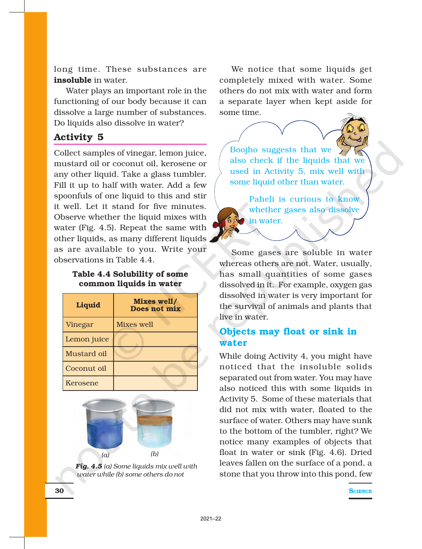long time. These substances are insoluble in water.

Water plays an important role in the functioning of our body because it can dissolve a large number of substances. Do liquids also dissolve in water?

# Activity 5

Collect samples of vinegar, lemon juice, mustard oil or coconut oil, kerosene or any other liquid. Take a glass tumbler. Fill it up to half with water. Add a few spoonfuls of one liquid to this and stir it well. Let it stand for five minutes. Observe whether the liquid mixes with water (Fig. 4.5). Repeat the same with other liquids, as many different liquids as are available to you. Write your observations in Table 4.4.

#### Table 4.4 Solubility of some common liquids in water

| <b>Liquid</b> | Mixes well/<br>Does not mix |
|---------------|-----------------------------|
| Vinegar       | <b>Mixes well</b>           |
| Lemon juice   |                             |
| Mustard oil   |                             |
| Coconut oil   |                             |
| Kerosene      |                             |



*Fig. 4.5 (a) Some liquids mix well with water while (b) some others do not*

We notice that some liquids get completely mixed with water. Some others do not mix with water and form a separate layer when kept aside for some time.

Boojho suggests that we also check if the liquids that we used in Activity 5, mix well with some liquid other than water.

Paheli is curious to know whether gases also dissolve in water.

Some gases are soluble in water whereas others are not. Water, usually, has small quantities of some gases dissolved in it. For example, oxygen gas dissolved in water is very important for the survival of animals and plants that live in water.

# Objects may float or sink in water

While doing Activity 4, you might have noticed that the insoluble solids separated out from water. You may have also noticed this with some liquids in Activity 5. Some of these materials that did not mix with water, floated to the surface of water. Others may have sunk to the bottom of the tumbler, right? We notice many examples of objects that float in water or sink (Fig. 4.6). Dried leaves fallen on the surface of a pond, a stone that you throw into this pond, few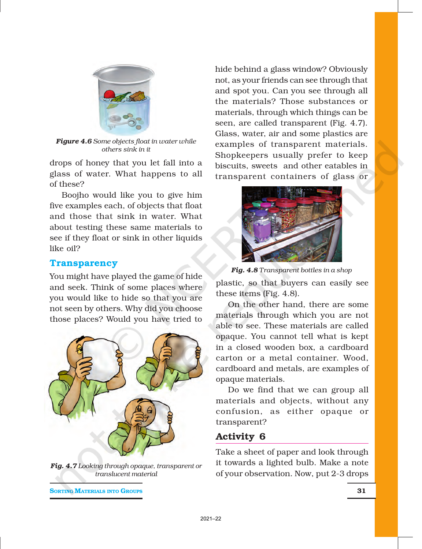

*Figure 4.6 Some objects float in water while others sink in it*

drops of honey that you let fall into a glass of water. What happens to all of these?

Boojho would like you to give him five examples each, of objects that float and those that sink in water. What about testing these same materials to see if they float or sink in other liquids like oil?

#### **Transparency**

You might have played the game of hide and seek. Think of some places where you would like to hide so that you are not seen by others. Why did you choose those places? Would you have tried to



*Fig. 4.7 Looking through opaque, transparent or translucent material*

**SORTING MATERIALS INTO GROUPS** 31

hide behind a glass window? Obviously not, as your friends can see through that and spot you. Can you see through all the materials? Those substances or materials, through which things can be seen, are called transparent (Fig. 4.7). Glass, water, air and some plastics are examples of transparent materials. Shopkeepers usually prefer to keep biscuits, sweets and other eatables in transparent containers of glass or



*Fig. 4.8 Transparent bottles in a shop*

plastic, so that buyers can easily see these items (Fig. 4.8).

On the other hand, there are some materials through which you are not able to see. These materials are called opaque. You cannot tell what is kept in a closed wooden box, a cardboard carton or a metal container. Wood, cardboard and metals, are examples of opaque materials.

Do we find that we can group all materials and objects, without any confusion, as either opaque or transparent?

# Activity 6

Take a sheet of paper and look through it towards a lighted bulb. Make a note of your observation. Now, put 2-3 drops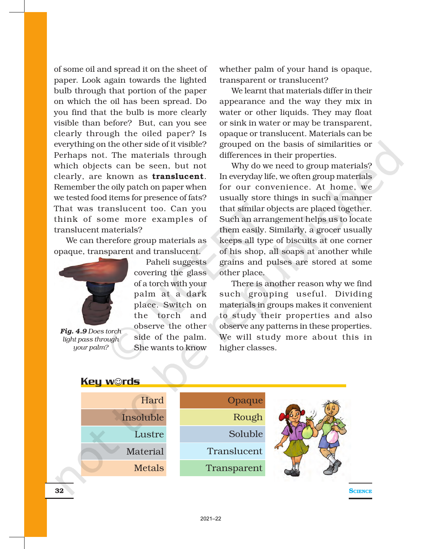of some oil and spread it on the sheet of paper. Look again towards the lighted bulb through that portion of the paper on which the oil has been spread. Do you find that the bulb is more clearly visible than before? But, can you see clearly through the oiled paper? Is everything on the other side of it visible? Perhaps not. The materials through which objects can be seen, but not clearly, are known as translucent. Remember the oily patch on paper when we tested food items for presence of fats? That was translucent too. Can you think of some more examples of translucent materials?

We can therefore group materials as opaque, transparent and translucent.



*Fig. 4.9 Does torch light pass through your palm?*

Paheli suggests covering the glass of a torch with your palm at a dark place. Switch on the torch and observe the other side of the palm. She wants to know

whether palm of your hand is opaque, transparent or translucent?

We learnt that materials differ in their appearance and the way they mix in water or other liquids. They may float or sink in water or may be transparent, opaque or translucent. Materials can be grouped on the basis of similarities or differences in their properties.

Why do we need to group materials? In everyday life, we often group materials for our convenience. At home, we usually store things in such a manner that similar objects are placed together. Such an arrangement helps us to locate them easily. Similarly, a grocer usually keeps all type of biscuits at one corner of his shop, all soaps at another while grains and pulses are stored at some other place.

There is another reason why we find such grouping useful. Dividing materials in groups makes it convenient to study their properties and also observe any patterns in these properties. We will study more about this in higher classes.

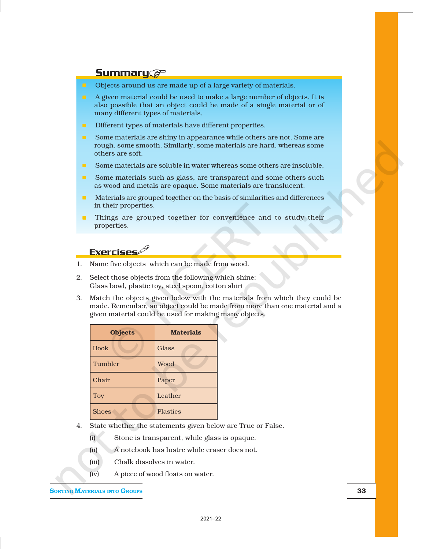#### **Summary@**

- **n** Objects around us are made up of a large variety of materials.
- $\blacksquare$  A given material could be used to make a large number of objects. It is also possible that an object could be made of a single material or of many different types of materials.
- **n** Different types of materials have different properties.
- **n** Some materials are shiny in appearance while others are not. Some are rough, some smooth. Similarly, some materials are hard, whereas some others are soft.
- Some materials are soluble in water whereas some others are insoluble.
- **n** Some materials such as glass, are transparent and some others such as wood and metals are opaque. Some materials are translucent.
- n Materials are grouped together on the basis of similarities and differences in their properties.
- n Things are grouped together for convenience and to study their properties.

## **Exercises**

- 1. Name five objects which can be made from wood.
- 2. Select those objects from the following which shine: Glass bowl, plastic toy, steel spoon, cotton shirt
- 3. Match the objects given below with the materials from which they could be made. Remember, an object could be made from more than one material and a given material could be used for making many objects.

2021–22

| <b>Objects</b> | <b>Materials</b> |
|----------------|------------------|
| <b>Book</b>    | Glass            |
| Tumbler        | Wood             |
| Chair          | Paper            |
| Toy            | Leather          |
| <b>Shoes</b>   | <b>Plastics</b>  |

- 4. State whether the statements given below are True or False.
	- (i) Stone is transparent, while glass is opaque.
	- (ii) A notebook has lustre while eraser does not.
	- (iii) Chalk dissolves in water.
	- (iv) A piece of wood floats on water.

**SORTING MATERIALS INTO GROUPS** 33